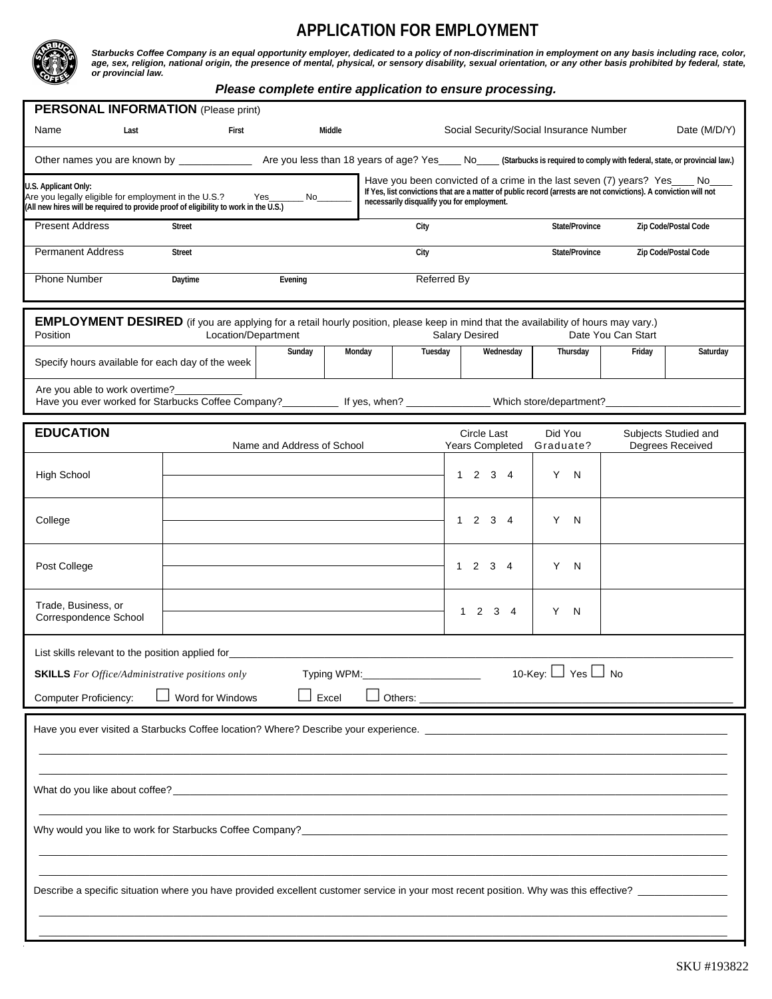## **APPLICATION FOR EMPLOYMENT**



*Starbucks Coffee Company is an equal opportunity employer, dedicated to a policy of non-discrimination in employment on any basis including race, color,*  age, sex, religion, national origin, the presence of mental, physical, or sensory disability, sexual orientation, or any other basis prohibited by federal, state, *or provincial law.* 

## *Please complete entire application to ensure processing.*

| <b>PERSONAL INFORMATION</b> (Please print)                                                                                                                                                                                    |                  |                            |        |                                            |                                                                                                                                                                                                   |                      |        |                                          |  |  |  |
|-------------------------------------------------------------------------------------------------------------------------------------------------------------------------------------------------------------------------------|------------------|----------------------------|--------|--------------------------------------------|---------------------------------------------------------------------------------------------------------------------------------------------------------------------------------------------------|----------------------|--------|------------------------------------------|--|--|--|
| Name<br>Last                                                                                                                                                                                                                  | First            |                            | Middle |                                            | Social Security/Social Insurance Number                                                                                                                                                           |                      |        | Date (M/D/Y)                             |  |  |  |
| Other names you are known by _______________ Are you less than 18 years of age? Yes____ No____ (Starbucks is required to comply with federal, state, or provincial law.)                                                      |                  |                            |        |                                            |                                                                                                                                                                                                   |                      |        |                                          |  |  |  |
| U.S. Applicant Only:<br>Are you legally eligible for employment in the U.S.? Yes_______ No______<br>(All new hires will be required to provide proof of eligibility to work in the U.S.)                                      |                  |                            |        | necessarily disqualify you for employment. | Have you been convicted of a crime in the last seven (7) years? Yes____ No___<br>If Yes, list convictions that are a matter of public record (arrests are not convictions). A conviction will not |                      |        |                                          |  |  |  |
| <b>Present Address</b>                                                                                                                                                                                                        | <b>Street</b>    |                            |        | City                                       |                                                                                                                                                                                                   | State/Province       |        | Zip Code/Postal Code                     |  |  |  |
| <b>Permanent Address</b>                                                                                                                                                                                                      | <b>Street</b>    |                            |        | City                                       |                                                                                                                                                                                                   | State/Province       |        | Zip Code/Postal Code                     |  |  |  |
| Phone Number                                                                                                                                                                                                                  | Daytime          | Evening                    |        | <b>Referred By</b>                         |                                                                                                                                                                                                   |                      |        |                                          |  |  |  |
| EMPLOYMENT DESIRED (if you are applying for a retail hourly position, please keep in mind that the availability of hours may vary.)<br>Location/Department<br><b>Salary Desired</b><br>Date You Can Start<br>Position         |                  |                            |        |                                            |                                                                                                                                                                                                   |                      |        |                                          |  |  |  |
| Specify hours available for each day of the week                                                                                                                                                                              |                  | Sunday                     | Monday | Tuesday                                    | Wednesday                                                                                                                                                                                         | Thursday             | Friday | Saturday                                 |  |  |  |
| Are you able to work overtime?<br>Have you ever worked for Starbucks Coffee Company?____________ If yes, when? _______________ Which store/department?____________                                                            |                  |                            |        |                                            |                                                                                                                                                                                                   |                      |        |                                          |  |  |  |
| <b>EDUCATION</b>                                                                                                                                                                                                              |                  | Name and Address of School |        |                                            | Circle Last<br><b>Years Completed</b>                                                                                                                                                             | Did You<br>Graduate? |        | Subjects Studied and<br>Degrees Received |  |  |  |
| <b>High School</b>                                                                                                                                                                                                            |                  |                            |        |                                            | $1 \t2 \t3 \t4$                                                                                                                                                                                   | Y N                  |        |                                          |  |  |  |
| College                                                                                                                                                                                                                       |                  |                            |        |                                            | $1 \t2 \t3 \t4$                                                                                                                                                                                   | Y N                  |        |                                          |  |  |  |
| Post College                                                                                                                                                                                                                  |                  |                            |        |                                            | $1 \t2 \t3 \t4$                                                                                                                                                                                   | Y N                  |        |                                          |  |  |  |
| Trade, Business, or<br>Correspondence School                                                                                                                                                                                  |                  |                            |        |                                            | 1 2 3 4                                                                                                                                                                                           | Y N                  |        |                                          |  |  |  |
| List skills relevant to the position applied for the contract of the contract of the contract of the contract of the contract of the contract of the contract of the contract of the contract of the contract of the contract |                  |                            |        |                                            |                                                                                                                                                                                                   |                      |        |                                          |  |  |  |
| 10-Key: $\Box$ Yes $\Box$ No<br>Typing WPM:<br><b>SKILLS</b> For Office/Administrative positions only                                                                                                                         |                  |                            |        |                                            |                                                                                                                                                                                                   |                      |        |                                          |  |  |  |
| <b>Computer Proficiency:</b>                                                                                                                                                                                                  | Word for Windows |                            | Excel  |                                            |                                                                                                                                                                                                   |                      |        |                                          |  |  |  |
|                                                                                                                                                                                                                               |                  |                            |        |                                            |                                                                                                                                                                                                   |                      |        |                                          |  |  |  |
|                                                                                                                                                                                                                               |                  |                            |        |                                            |                                                                                                                                                                                                   |                      |        |                                          |  |  |  |
|                                                                                                                                                                                                                               |                  |                            |        |                                            |                                                                                                                                                                                                   |                      |        |                                          |  |  |  |
| Describe a specific situation where you have provided excellent customer service in your most recent position. Why was this effective? _______________                                                                        |                  |                            |        |                                            |                                                                                                                                                                                                   |                      |        |                                          |  |  |  |
|                                                                                                                                                                                                                               |                  |                            |        |                                            |                                                                                                                                                                                                   |                      |        |                                          |  |  |  |